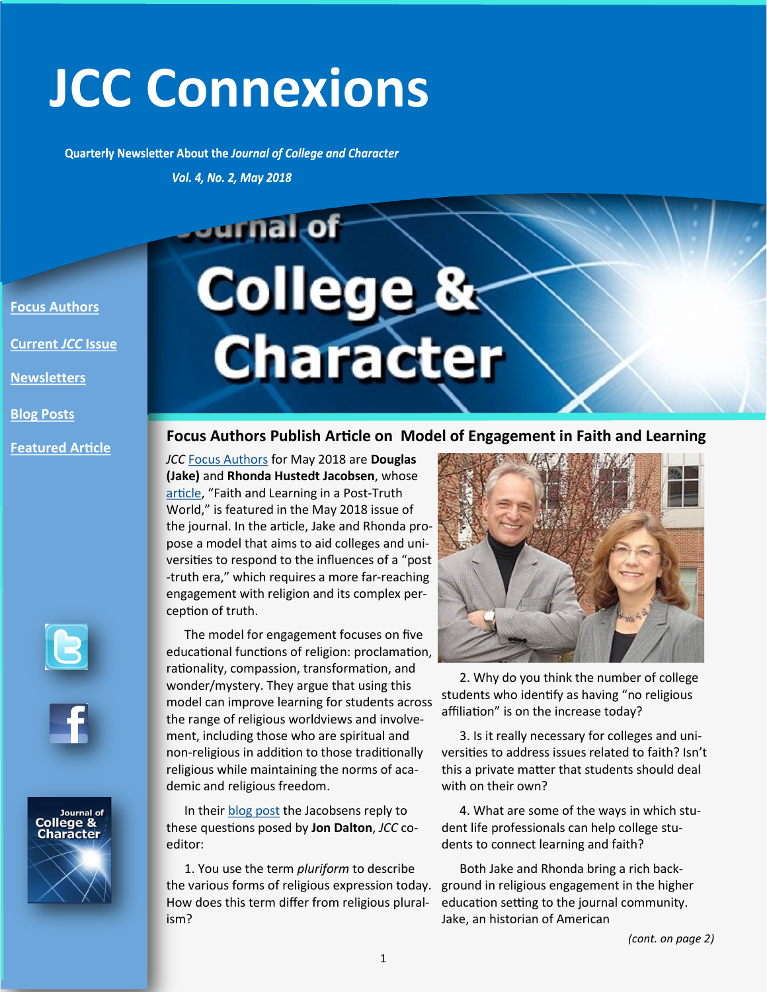# **JCC Connexions**

Quarterly Newsletter About the Journal of College and Character

Vol. 4, No. 2, May 2018

**Jurnal** of

**[Focus Authors](http://www.naspa.org/publications/journals/journal-of-college-and-character/pages/jcc-focus-authors)**

**[Current](http://www.tandfonline.com/toc/ujcc20/current)** *JCC* **Issue**

**[Newsletters](http://www.naspa.org/publications/journals/journal-of-college-and-character/newsletter)**

**[Blog Posts](https://www.naspa.org/publications/journals/journal-of-college-and-character)**

**[Featured Article](https://www.tandfonline.com/doi/full/10.1080/2194587X.2018.1445645)**





Journal of<br>**College & Character** 

# College &

**Focus Authors Publish Article on Model of Engagement in Faith and Learning**

*JCC* [Focus Authors](https://www.naspa.org/publications/journals/journal-of-college-and-character/pages/jcc-focus-authors) for May 2018 are **Douglas (Jake)** and **Rhonda Hustedt Jacobsen**, whose [article](https://www.tandfonline.com/doi/full/10.1080/2194587X.2018.1445645), "Faith and Learning in a Post-Truth World," is featured in the May 2018 issue of the journal. In the article, Jake and Rhonda propose a model that aims to aid colleges and universities to respond to the influences of a "post -truth era," which requires a more far-reaching engagement with religion and its complex perception of truth.

The model for engagement focuses on five educational functions of religion: proclamation, rationality, compassion, transformation, and wonder/mystery. They argue that using this model can improve learning for students across the range of religious worldviews and involvement, including those who are spiritual and non-religious in addition to those traditionally religious while maintaining the norms of academic and religious freedom.

In their [blog post](https://www.naspa.org/publications/journals/posts/Critical-Conversations-13) the Jacobsens reply to these questions posed by **Jon Dalton**, *JCC* coeditor:

1. You use the term *pluriform* to describe the various forms of religious expression today. How does this term differ from religious pluralism?



2. Why do you think the number of college students who identify as having "no religious affiliation" is on the increase today?

3. Is it really necessary for colleges and universities to address issues related to faith? Isn't this a private matter that students should deal with on their own?

4. What are some of the ways in which student life professionals can help college students to connect learning and faith?

Both Jake and Rhonda bring a rich background in religious engagement in the higher education setting to the journal community. Jake, an historian of American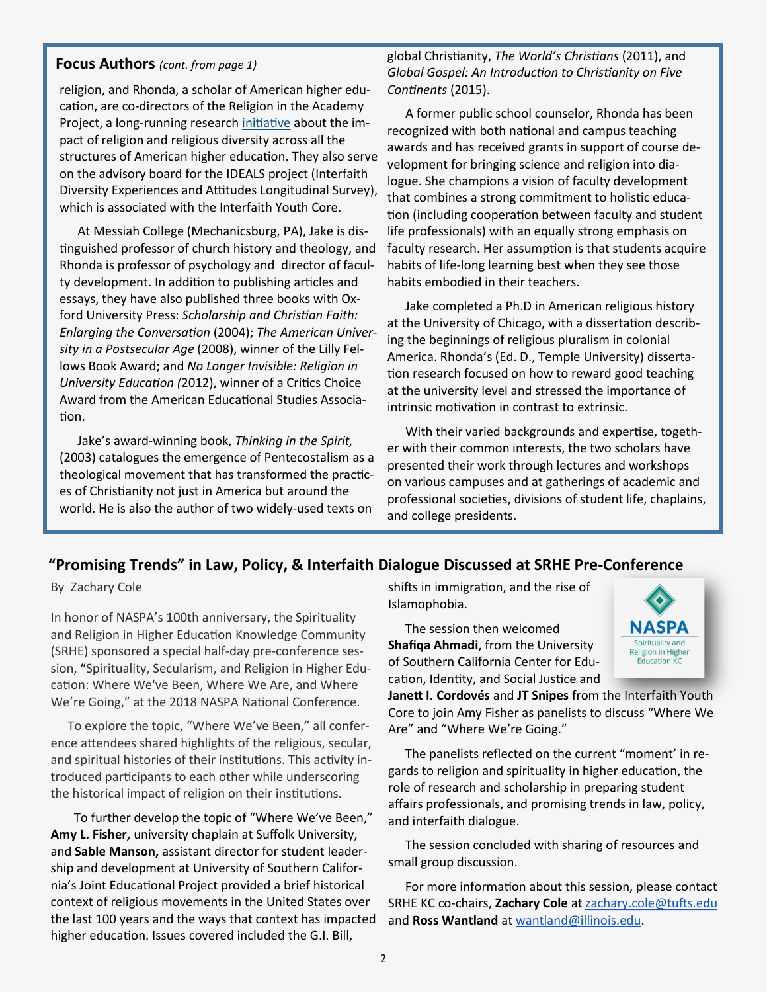#### **Focus Authors** *(cont. from page 1)*

religion, and Rhonda, a scholar of American higher education, are co-directors of the Religion in the Academy Project, a long-running research [initiative](http://www.religionintheacademy.org) about the impact of religion and religious diversity across all the structures of American higher education. They also serve on the advisory board for the IDEALS project (Interfaith Diversity Experiences and Attitudes Longitudinal Survey), which is associated with the Interfaith Youth Core.

At Messiah College (Mechanicsburg, PA), Jake is distinguished professor of church history and theology, and Rhonda is professor of psychology and director of faculty development. In addition to publishing articles and essays, they have also published three books with Oxford University Press: *Scholarship and Christian Faith: Enlarging the Conversation* (2004); *The American University in a Postsecular Age* (2008), winner of the Lilly Fellows Book Award; and *No Longer Invisible: Religion in University Education (*2012), winner of a Critics Choice Award from the American Educational Studies Association.

Jake's award-winning book, *Thinking in the Spirit,*  (2003) catalogues the emergence of Pentecostalism as a theological movement that has transformed the practices of Christianity not just in America but around the world. He is also the author of two widely-used texts on

global Christianity, *The World's Christians* (2011), and *Global Gospel: An Introduction to Christianity on Five Continents* (2015).

A former public school counselor, Rhonda has been recognized with both national and campus teaching awards and has received grants in support of course development for bringing science and religion into dialogue. She champions a vision of faculty development that combines a strong commitment to holistic education (including cooperation between faculty and student life professionals) with an equally strong emphasis on faculty research. Her assumption is that students acquire habits of life-long learning best when they see those habits embodied in their teachers.

Jake completed a Ph.D in American religious history at the University of Chicago, with a dissertation describing the beginnings of religious pluralism in colonial America. Rhonda's (Ed. D., Temple University) dissertation research focused on how to reward good teaching at the university level and stressed the importance of intrinsic motivation in contrast to extrinsic.

With their varied backgrounds and expertise, together with their common interests, the two scholars have presented their work through lectures and workshops on various campuses and at gatherings of academic and professional societies, divisions of student life, chaplains, and college presidents.

#### **"Promising Trends" in Law, Policy, & Interfaith Dialogue Discussed at SRHE Pre-Conference**

By Zachary Cole

In honor of NASPA's 100th anniversary, the Spirituality and Religion in Higher Education Knowledge Community (SRHE) sponsored a special half-day pre-conference session, "Spirituality, Secularism, and Religion in Higher Education: Where We've Been, Where We Are, and Where We're Going," at the 2018 NASPA National Conference.

To explore the topic, "Where We've Been," all conference attendees shared highlights of the religious, secular, and spiritual histories of their institutions. This activity introduced participants to each other while underscoring the historical impact of religion on their institutions.

 To further develop the topic of "Where We've Been," **Amy L. Fisher,** university chaplain at Suffolk University, and **Sable Manson,** assistant director for student leadership and development at University of Southern California's Joint Educational Project provided a brief historical context of religious movements in the United States over the last 100 years and the ways that context has impacted higher education. Issues covered included the G.I. Bill,

shifts in immigration, and the rise of Islamophobia.

The session then welcomed **Shafiqa Ahmadi**, from the University of Southern California Center for Education, Identity, and Social Justice and NASPA Spirituality and Religion in Higher **Education KC** 

**Janett I. Cordovés** and **JT Snipes** from the Interfaith Youth Core to join Amy Fisher as panelists to discuss "Where We Are" and "Where We're Going."

The panelists reflected on the current "moment' in regards to religion and spirituality in higher education, the role of research and scholarship in preparing student affairs professionals, and promising trends in law, policy, and interfaith dialogue.

The session concluded with sharing of resources and small group discussion.

For more information about this session, please contact SRHE KC co-chairs, **Zachary Cole** at [zachary.cole@tufts.edu](mailto:zachary.cole@tufts.edu) and **Ross Wantland** at [wantland@illinois.edu.](mailto:wantland@illinois.edu)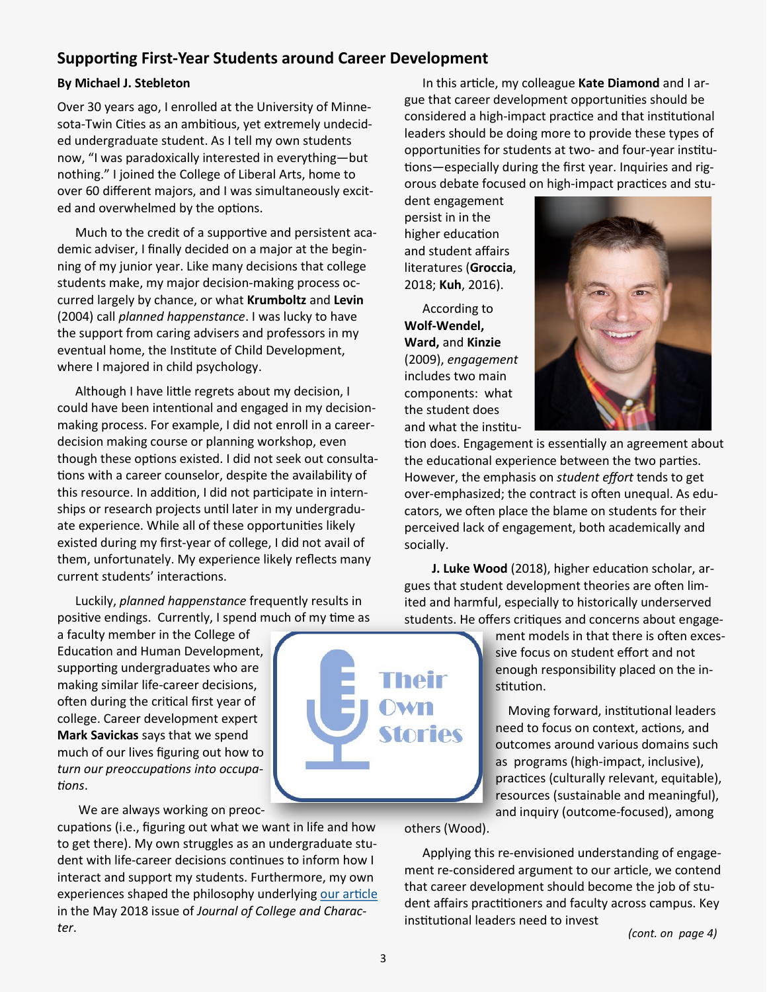#### **Supporting First-Year Students around Career Development**

#### **By Michael J. Stebleton**

Over 30 years ago, I enrolled at the University of Minnesota-Twin Cities as an ambitious, yet extremely undecided undergraduate student. As I tell my own students now, "I was paradoxically interested in everything—but nothing." I joined the College of Liberal Arts, home to over 60 different majors, and I was simultaneously excited and overwhelmed by the options.

Much to the credit of a supportive and persistent academic adviser, I finally decided on a major at the beginning of my junior year. Like many decisions that college students make, my major decision-making process occurred largely by chance, or what **Krumboltz** and **Levin**  (2004) call *planned happenstance*. I was lucky to have the support from caring advisers and professors in my eventual home, the Institute of Child Development, where I majored in child psychology.

Although I have little regrets about my decision, I could have been intentional and engaged in my decisionmaking process. For example, I did not enroll in a careerdecision making course or planning workshop, even though these options existed. I did not seek out consultations with a career counselor, despite the availability of this resource. In addition, I did not participate in internships or research projects until later in my undergraduate experience. While all of these opportunities likely existed during my first-year of college, I did not avail of them, unfortunately. My experience likely reflects many current students' interactions.

Luckily, *planned happenstance* frequently results in positive endings. Currently, I spend much of my time as

a faculty member in the College of Education and Human Development, supporting undergraduates who are making similar life-career decisions, often during the critical first year of college. Career development expert **Mark Savickas** says that we spend much of our lives figuring out how to *turn our preoccupations into occupations*.

We are always working on preoc-

cupations (i.e., figuring out what we want in life and how to get there). My own struggles as an undergraduate student with life-career decisions continues to inform how I interact and support my students. Furthermore, my own experiences shaped the philosophy underlying [our article](https://www.tandfonline.com/doi/full/10.1080/2194587X.2018.1445646) in the May 2018 issue of *Journal of College and Character*.



In this article, my colleague **Kate Diamond** and I argue that career development opportunities should be considered a high-impact practice and that institutional leaders should be doing more to provide these types of opportunities for students at two- and four-year institutions—especially during the first year. Inquiries and rigorous debate focused on high-impact practices and stu-

dent engagement persist in in the higher education and student affairs literatures (**Groccia**, 2018; **Kuh**, 2016).

According to **Wolf-Wendel, Ward,** and **Kinzie**  (2009), *engagement*  includes two main components: what the student does and what the institu-



tion does. Engagement is essentially an agreement about the educational experience between the two parties. However, the emphasis on *student effort* tends to get over-emphasized; the contract is often unequal. As educators, we often place the blame on students for their perceived lack of engagement, both academically and socially.

 **J. Luke Wood** (2018), higher education scholar, argues that student development theories are often limited and harmful, especially to historically underserved students. He offers critiques and concerns about engage-

> ment models in that there is often excessive focus on student effort and not enough responsibility placed on the institution.

 Moving forward, institutional leaders need to focus on context, actions, and outcomes around various domains such as programs (high-impact, inclusive), practices (culturally relevant, equitable), resources (sustainable and meaningful), and inquiry (outcome-focused), among

others (Wood).

Applying this re-envisioned understanding of engagement re-considered argument to our article, we contend that career development should become the job of student affairs practitioners and faculty across campus. Key institutional leaders need to invest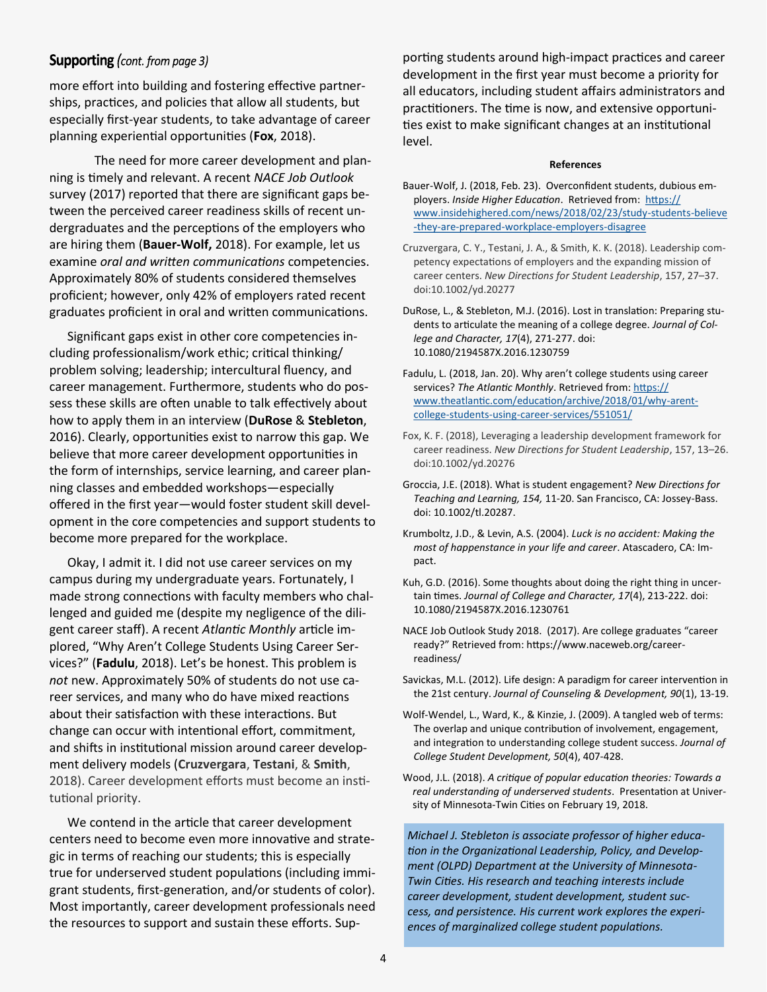#### **Supporting** (cont. from page 3)

more effort into building and fostering effective partnerships, practices, and policies that allow all students, but especially first-year students, to take advantage of career planning experiential opportunities (**Fox**, 2018).

The need for more career development and planning is timely and relevant. A recent *NACE Job Outlook* survey (2017) reported that there are significant gaps between the perceived career readiness skills of recent undergraduates and the perceptions of the employers who are hiring them (**Bauer-Wolf,** 2018). For example, let us examine *oral and written communications* competencies. Approximately 80% of students considered themselves proficient; however, only 42% of employers rated recent graduates proficient in oral and written communications.

Significant gaps exist in other core competencies including professionalism/work ethic; critical thinking/ problem solving; leadership; intercultural fluency, and career management. Furthermore, students who do possess these skills are often unable to talk effectively about how to apply them in an interview (**DuRose** & **Stebleton**, 2016). Clearly, opportunities exist to narrow this gap. We believe that more career development opportunities in the form of internships, service learning, and career planning classes and embedded workshops—especially offered in the first year—would foster student skill development in the core competencies and support students to become more prepared for the workplace.

Okay, I admit it. I did not use career services on my campus during my undergraduate years. Fortunately, I made strong connections with faculty members who challenged and guided me (despite my negligence of the diligent career staff). A recent *Atlantic Monthly* article implored, "Why Aren't College Students Using Career Services?" (**Fadulu**, 2018). Let's be honest. This problem is *not* new. Approximately 50% of students do not use career services, and many who do have mixed reactions about their satisfaction with these interactions. But change can occur with intentional effort, commitment, and shifts in institutional mission around career development delivery models (**Cruzvergara**, **Testani**, & **Smith**, 2018). Career development efforts must become an institutional priority.

We contend in the article that career development centers need to become even more innovative and strategic in terms of reaching our students; this is especially true for underserved student populations (including immigrant students, first-generation, and/or students of color). Most importantly, career development professionals need the resources to support and sustain these efforts. Supporting students around high-impact practices and career development in the first year must become a priority for all educators, including student affairs administrators and practitioners. The time is now, and extensive opportunities exist to make significant changes at an institutional level.

#### **References**

- Bauer-Wolf, J. (2018, Feb. 23). Overconfident students, dubious employers. *Inside Higher Education*. Retrieved from: [https://](https://www.insidehighered.com/news/2018/02/23/study-students-believe-they-are-prepared-workplace-employers-disagree) [www.insidehighered.com/news/2018/02/23/study](https://www.insidehighered.com/news/2018/02/23/study-students-believe-they-are-prepared-workplace-employers-disagree)-students-believe -they-are-prepared-workplace-[employers](https://www.insidehighered.com/news/2018/02/23/study-students-believe-they-are-prepared-workplace-employers-disagree)-disagree
- Cruzvergara, C. Y., Testani, J. A., & Smith, K. K. (2018). Leadership competency expectations of employers and the expanding mission of career centers. *New Directions for Student Leadership*, 157, 27–37. doi:10.1002/yd.20277
- DuRose, L., & Stebleton, M.J. (2016). Lost in translation: Preparing students to articulate the meaning of a college degree. *Journal of College and Character, 17*(4), 271-277. doi: 10.1080/2194587X.2016.1230759
- Fadulu, L. (2018, Jan. 20). Why aren't college students using career services? The Atlantic Monthly. Retrieved from: [https://](https://www.theatlantic.com/education/archive/2018/01/why-arent-college-students-using-career-services/551051/) [www.theatlantic.com/education/archive/2018/01/why](https://www.theatlantic.com/education/archive/2018/01/why-arent-college-students-using-career-services/551051/)-arentcollege-students-using-career-[services/551051/](https://www.theatlantic.com/education/archive/2018/01/why-arent-college-students-using-career-services/551051/)
- Fox, K. F. (2018), Leveraging a leadership development framework for career readiness. *New Directions for Student Leadership*, 157, 13–26. doi:10.1002/yd.20276
- Groccia, J.E. (2018). What is student engagement? *New Directions for Teaching and Learning, 154,* 11-20. San Francisco, CA: Jossey-Bass. doi: 10.1002/tl.20287.
- Krumboltz, J.D., & Levin, A.S. (2004). *Luck is no accident: Making the most of happenstance in your life and career*. Atascadero, CA: Impact.
- Kuh, G.D. (2016). Some thoughts about doing the right thing in uncertain times. *Journal of College and Character, 17*(4), 213-222. doi: 10.1080/2194587X.2016.1230761
- NACE Job Outlook Study 2018. (2017). Are college graduates "career ready?" Retrieved from: https://www.naceweb.org/careerreadiness/
- Savickas, M.L. (2012). Life design: A paradigm for career intervention in the 21st century. *Journal of Counseling & Development, 90*(1), 13-19.
- Wolf-Wendel, L., Ward, K., & Kinzie, J. (2009). A tangled web of terms: The overlap and unique contribution of involvement, engagement, and integration to understanding college student success. *Journal of College Student Development, 50*(4), 407-428.
- Wood, J.L. (2018). *A critique of popular education theories: Towards a real understanding of underserved students*. Presentation at University of Minnesota-Twin Cities on February 19, 2018.

*Michael J. Stebleton is associate professor of higher education in the Organizational Leadership, Policy, and Development (OLPD) Department at the University of Minnesota-Twin Cities. His research and teaching interests include career development, student development, student success, and persistence. His current work explores the experiences of marginalized college student populations.*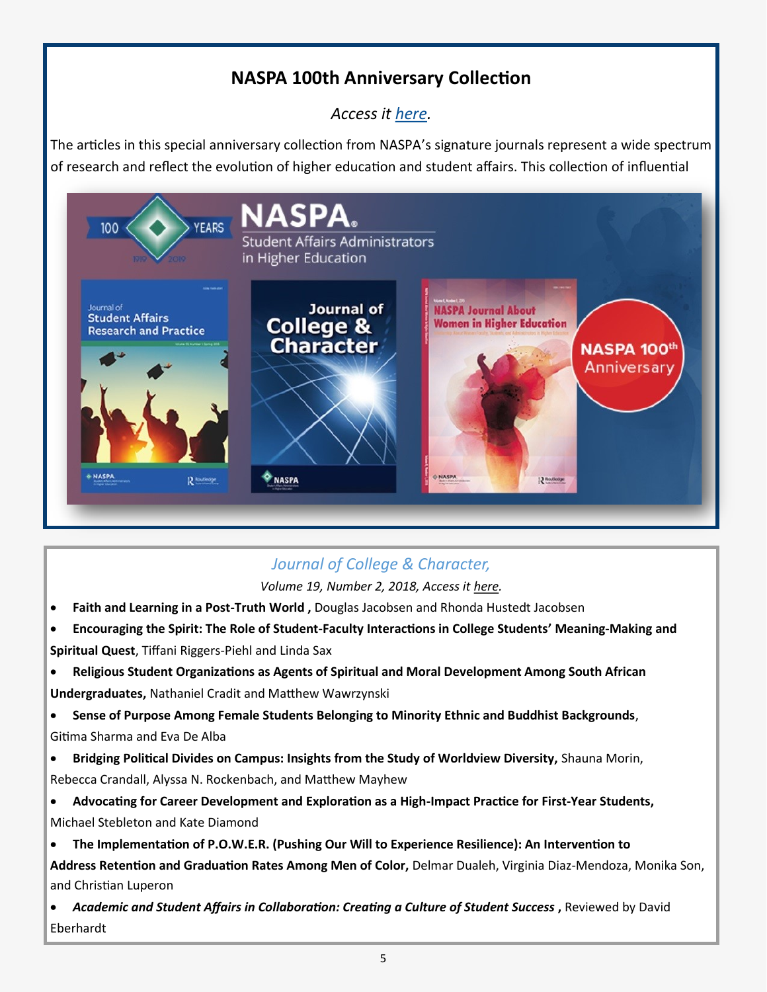# **NASPA 100th Anniversary Collection**

*Access it [here.](http://explore.tandfonline.com/content/ed/naspa-100-years)*

The articles in this special anniversary collection from NASPA's signature journals represent a wide spectrum of research and reflect the evolution of higher education and student affairs. This collection of influential



# *Journal of College & Character,*

*Volume 19, Number 2, 2018, Access it [here.](https://www.tandfonline.com/toc/ujcc20/current)*

- **Faith and Learning in a Post-Truth World ,** Douglas Jacobsen and Rhonda Hustedt Jacobsen
- **Encouraging the Spirit: The Role of Student-Faculty Interactions in College Students' Meaning-Making and Spiritual Quest**, Tiffani Riggers-Piehl and Linda Sax
- **Religious Student Organizations as Agents of Spiritual and Moral Development Among South African Undergraduates,** Nathaniel Cradit and Matthew Wawrzynski

• **Sense of Purpose Among Female Students Belonging to Minority Ethnic and Buddhist Backgrounds**, Gitima Sharma and Eva De Alba

• **Bridging Political Divides on Campus: Insights from the Study of Worldview Diversity,** Shauna Morin, Rebecca Crandall, Alyssa N. Rockenbach, and Matthew Mayhew

- **Advocating for Career Development and Exploration as a High-Impact Practice for First-Year Students,** Michael Stebleton and Kate Diamond
- **The Implementation of P.O.W.E.R. (Pushing Our Will to Experience Resilience): An Intervention to**

**Address Retention and Graduation Rates Among Men of Color,** Delmar Dualeh, Virginia Diaz-Mendoza, Monika Son, and Christian Luperon

**• Academic and Student Affairs in Collaboration: Creating a Culture of Student Success, Reviewed by David** Eberhardt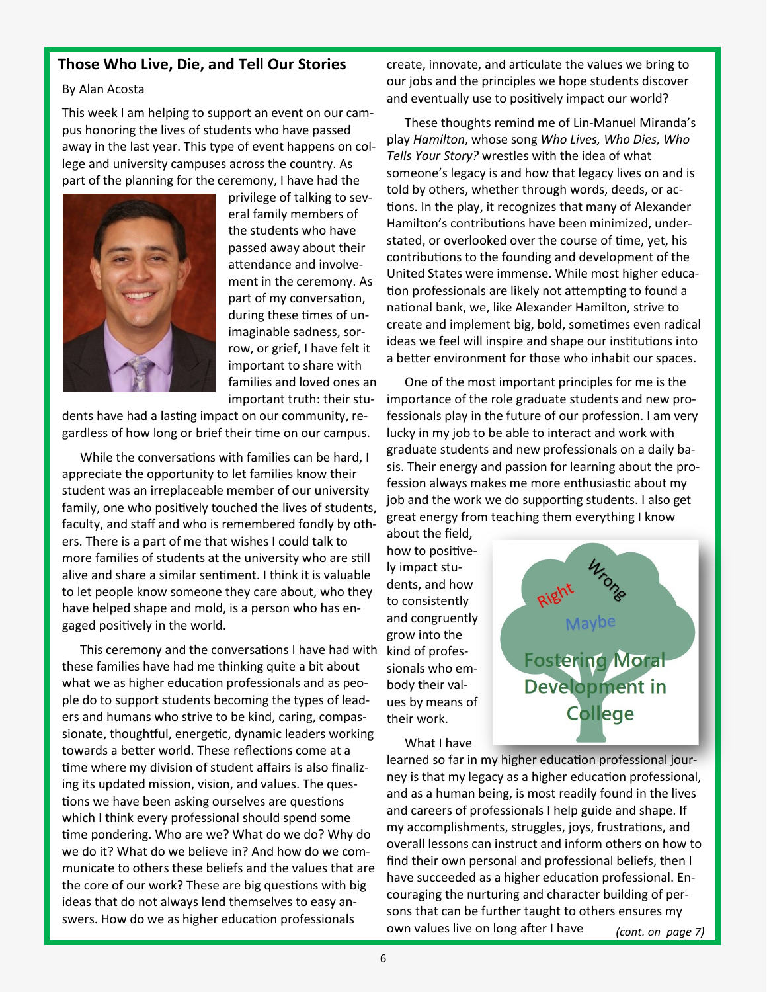#### **Those Who Live, Die, and Tell Our Stories**

#### By Alan Acosta

This week I am helping to support an event on our campus honoring the lives of students who have passed away in the last year. This type of event happens on college and university campuses across the country. As part of the planning for the ceremony, I have had the



privilege of talking to several family members of the students who have passed away about their attendance and involvement in the ceremony. As part of my conversation, during these times of unimaginable sadness, sorrow, or grief, I have felt it important to share with families and loved ones an important truth: their stu-

dents have had a lasting impact on our community, regardless of how long or brief their time on our campus.

While the conversations with families can be hard, I appreciate the opportunity to let families know their student was an irreplaceable member of our university family, one who positively touched the lives of students, faculty, and staff and who is remembered fondly by others. There is a part of me that wishes I could talk to more families of students at the university who are still alive and share a similar sentiment. I think it is valuable to let people know someone they care about, who they have helped shape and mold, is a person who has engaged positively in the world.

This ceremony and the conversations I have had with these families have had me thinking quite a bit about what we as higher education professionals and as people do to support students becoming the types of leaders and humans who strive to be kind, caring, compassionate, thoughtful, energetic, dynamic leaders working towards a better world. These reflections come at a time where my division of student affairs is also finalizing its updated mission, vision, and values. The questions we have been asking ourselves are questions which I think every professional should spend some time pondering. Who are we? What do we do? Why do we do it? What do we believe in? And how do we communicate to others these beliefs and the values that are the core of our work? These are big questions with big ideas that do not always lend themselves to easy answers. How do we as higher education professionals

create, innovate, and articulate the values we bring to our jobs and the principles we hope students discover and eventually use to positively impact our world?

These thoughts remind me of Lin-Manuel Miranda's play *Hamilton*, whose song *Who Lives, Who Dies, Who Tells Your Story?* wrestles with the idea of what someone's legacy is and how that legacy lives on and is told by others, whether through words, deeds, or actions. In the play, it recognizes that many of Alexander Hamilton's contributions have been minimized, understated, or overlooked over the course of time, yet, his contributions to the founding and development of the United States were immense. While most higher education professionals are likely not attempting to found a national bank, we, like Alexander Hamilton, strive to create and implement big, bold, sometimes even radical ideas we feel will inspire and shape our institutions into a better environment for those who inhabit our spaces.

One of the most important principles for me is the importance of the role graduate students and new professionals play in the future of our profession. I am very lucky in my job to be able to interact and work with graduate students and new professionals on a daily basis. Their energy and passion for learning about the profession always makes me more enthusiastic about my job and the work we do supporting students. I also get great energy from teaching them everything I know

about the field, how to positively impact students, and how to consistently and congruently grow into the kind of professionals who embody their values by means of their work.



What I have

learned so far in my higher education professional journey is that my legacy as a higher education professional, and as a human being, is most readily found in the lives and careers of professionals I help guide and shape. If my accomplishments, struggles, joys, frustrations, and overall lessons can instruct and inform others on how to find their own personal and professional beliefs, then I have succeeded as a higher education professional. Encouraging the nurturing and character building of persons that can be further taught to others ensures my own values live on long after I have *(cont. on page 7)*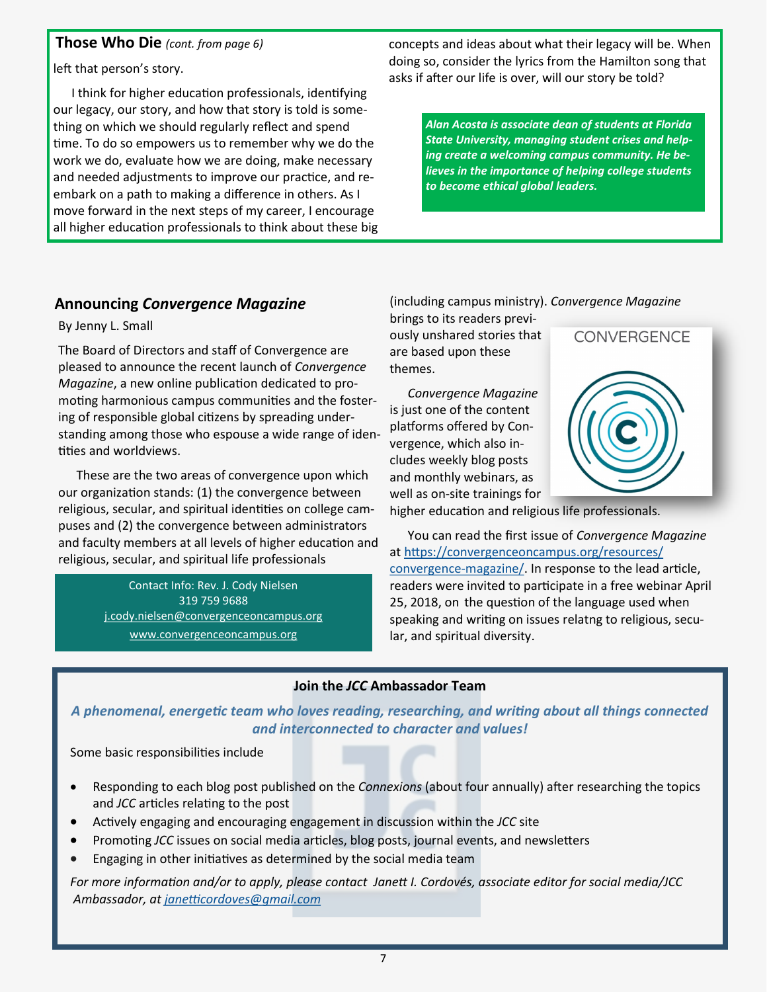#### **Those Who Die** *(cont. from page 6)*

left that person's story.

I think for higher education professionals, identifying our legacy, our story, and how that story is told is something on which we should regularly reflect and spend time. To do so empowers us to remember why we do the work we do, evaluate how we are doing, make necessary and needed adjustments to improve our practice, and reembark on a path to making a difference in others. As I move forward in the next steps of my career, I encourage all higher education professionals to think about these big concepts and ideas about what their legacy will be. When doing so, consider the lyrics from the Hamilton song that asks if after our life is over, will our story be told?

> *Alan Acosta is associate dean of students at Florida State University, managing student crises and helping create a welcoming campus community. He believes in the importance of helping college students to become ethical global leaders.*

#### **Announcing** *Convergence Magazine*

By Jenny L. Small

The Board of Directors and staff of Convergence are pleased to announce the recent launch of *Convergence Magazine*, a new online publication dedicated to promoting harmonious campus communities and the fostering of responsible global citizens by spreading understanding among those who espouse a wide range of identities and worldviews.

These are the two areas of convergence upon which our organization stands: (1) the convergence between religious, secular, and spiritual identities on college campuses and (2) the convergence between administrators and faculty members at all levels of higher education and religious, secular, and spiritual life professionals

> Contact Info: Rev. J. Cody Nielsen 319 759 9688 [j.cody.nielsen@convergenceoncampus.org](mailto:j.cody.nielsen@convergenceoncampus.org) [www.convergenceoncampus.org](http://www.convergenceoncampus.org)

(including campus ministry). *Convergence Magazine*

brings to its readers previously unshared stories that are based upon these themes.

*Convergence Magazine* is just one of the content platforms offered by Convergence, which also includes weekly blog posts and monthly webinars, as well as on-site trainings for



higher education and religious life professionals.

You can read the first issue of *Convergence Magazine* at [https://convergenceoncampus.org/resources/](https://convergenceoncampus.org/resources/convergence-magazine/) [convergence](https://convergenceoncampus.org/resources/convergence-magazine/)-magazine/. In response to the lead article, readers were invited to participate in a free webinar April 25, 2018, on the question of the language used when speaking and writing on issues relatng to religious, secular, and spiritual diversity.

#### **Join the** *JCC* **Ambassador Team**

*A phenomenal, energetic team who loves reading, researching, and writing about all things connected and interconnected to character and values!* 

Some basic responsibilities include

- Responding to each blog post published on the *Connexions* (about four annually) after researching the topics and *JCC* articles relating to the post
- Actively engaging and encouraging engagement in discussion within the *JCC* site
- Promoting *JCC* issues on social media articles, blog posts, journal events, and newsletters
- Engaging in other initiatives as determined by the social media team

*For more information and/or to apply, please contact Janett I. Cordovés, associate editor for social media/JCC Ambassador, at [janetticordoves@gmail.com](mailto:janetticordoves@gmail.com)*